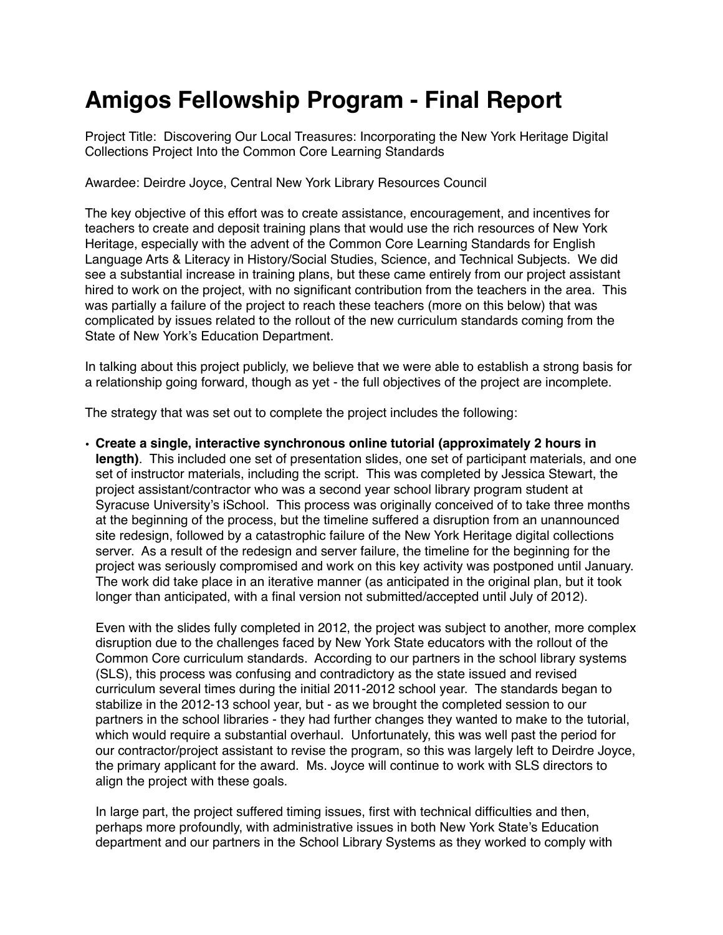## **Amigos Fellowship Program - Final Report**

Project Title: Discovering Our Local Treasures: Incorporating the New York Heritage Digital Collections Project Into the Common Core Learning Standards

Awardee: Deirdre Joyce, Central New York Library Resources Council

The key objective of this effort was to create assistance, encouragement, and incentives for teachers to create and deposit training plans that would use the rich resources of New York Heritage, especially with the advent of the Common Core Learning Standards for English Language Arts & Literacy in History/Social Studies, Science, and Technical Subjects. We did see a substantial increase in training plans, but these came entirely from our project assistant hired to work on the project, with no significant contribution from the teachers in the area. This was partially a failure of the project to reach these teachers (more on this below) that was complicated by issues related to the rollout of the new curriculum standards coming from the State of New York's Education Department.

In talking about this project publicly, we believe that we were able to establish a strong basis for a relationship going forward, though as yet - the full objectives of the project are incomplete.

The strategy that was set out to complete the project includes the following:

• **Create a single, interactive synchronous online tutorial (approximately 2 hours in length)**. This included one set of presentation slides, one set of participant materials, and one set of instructor materials, including the script. This was completed by Jessica Stewart, the project assistant/contractor who was a second year school library program student at Syracuse University's iSchool. This process was originally conceived of to take three months at the beginning of the process, but the timeline suffered a disruption from an unannounced site redesign, followed by a catastrophic failure of the New York Heritage digital collections server. As a result of the redesign and server failure, the timeline for the beginning for the project was seriously compromised and work on this key activity was postponed until January. The work did take place in an iterative manner (as anticipated in the original plan, but it took longer than anticipated, with a final version not submitted/accepted until July of 2012).

 Even with the slides fully completed in 2012, the project was subject to another, more complex disruption due to the challenges faced by New York State educators with the rollout of the Common Core curriculum standards. According to our partners in the school library systems (SLS), this process was confusing and contradictory as the state issued and revised curriculum several times during the initial 2011-2012 school year. The standards began to stabilize in the 2012-13 school year, but - as we brought the completed session to our partners in the school libraries - they had further changes they wanted to make to the tutorial, which would require a substantial overhaul. Unfortunately, this was well past the period for our contractor/project assistant to revise the program, so this was largely left to Deirdre Joyce, the primary applicant for the award. Ms. Joyce will continue to work with SLS directors to align the project with these goals.

In large part, the project suffered timing issues, first with technical difficulties and then, perhaps more profoundly, with administrative issues in both New York State's Education department and our partners in the School Library Systems as they worked to comply with